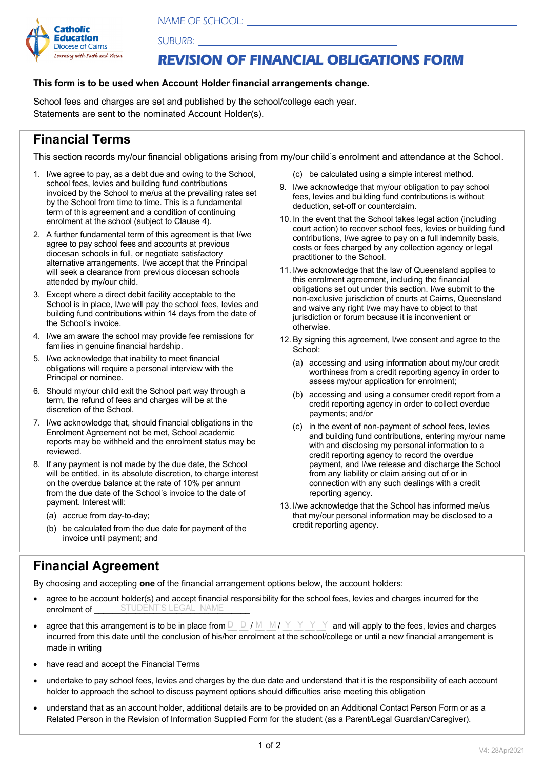*NAME OF SCHOOL:* 



*SUBURB:* 

## *REVISION OF FINANCIAL OBLIGATIONS FORM*

## **This form is to be used when Account Holder financial arrangements change.**

School fees and charges are set and published by the school/college each year. Statements are sent to the nominated Account Holder(s).

## **Financial Terms**

This section records my/our financial obligations arising from my/our child's enrolment and attendance at the School.

- 1. I/we agree to pay, as a debt due and owing to the School, school fees, levies and building fund contributions invoiced by the School to me/us at the prevailing rates set by the School from time to time. This is a fundamental term of this agreement and a condition of continuing enrolment at the school (subject to Clause 4).
- 2. A further fundamental term of this agreement is that I/we agree to pay school fees and accounts at previous diocesan schools in full, or negotiate satisfactory alternative arrangements. I/we accept that the Principal will seek a clearance from previous diocesan schools attended by my/our child.
- 3. Except where a direct debit facility acceptable to the School is in place, I/we will pay the school fees, levies and building fund contributions within 14 days from the date of the School's invoice.
- 4. I/we am aware the school may provide fee remissions for families in genuine financial hardship.
- 5. I/we acknowledge that inability to meet financial obligations will require a personal interview with the Principal or nominee.
- 6. Should my/our child exit the School part way through a term, the refund of fees and charges will be at the discretion of the School.
- 7. I/we acknowledge that, should financial obligations in the Enrolment Agreement not be met, School academic reports may be withheld and the enrolment status may be reviewed.
- 8. If any payment is not made by the due date, the School will be entitled, in its absolute discretion, to charge interest on the overdue balance at the rate of 10% per annum from the due date of the School's invoice to the date of payment. Interest will:
	- (a) accrue from day-to-day;
	- (b) be calculated from the due date for payment of the invoice until payment; and
- (c) be calculated using a simple interest method.
- 9. I/we acknowledge that my/our obligation to pay school fees, levies and building fund contributions is without deduction, set-off or counterclaim.
- 10. In the event that the School takes legal action (including court action) to recover school fees, levies or building fund contributions, I/we agree to pay on a full indemnity basis, costs or fees charged by any collection agency or legal practitioner to the School.
- 11. I/we acknowledge that the law of Queensland applies to this enrolment agreement, including the financial obligations set out under this section. I/we submit to the non-exclusive jurisdiction of courts at Cairns, Queensland and waive any right I/we may have to object to that jurisdiction or forum because it is inconvenient or otherwise.
- 12. By signing this agreement, I/we consent and agree to the School:
	- (a) accessing and using information about my/our credit worthiness from a credit reporting agency in order to assess my/our application for enrolment;
	- (b) accessing and using a consumer credit report from a credit reporting agency in order to collect overdue payments; and/or
	- (c) in the event of non-payment of school fees, levies and building fund contributions, entering my/our name with and disclosing my personal information to a credit reporting agency to record the overdue payment, and I/we release and discharge the School from any liability or claim arising out of or in connection with any such dealings with a credit reporting agency.
- 13. I/we acknowledge that the School has informed me/us that my/our personal information may be disclosed to a credit reporting agency.

## **Financial Agreement**

By choosing and accepting **one** of the financial arrangement options below, the account holders:

- agree to be account holder(s) and accept financial responsibility for the school fees, levies and charges incurred for the enrolment of **STUDENT'S LEGAL NAME**
- agree that this arrangement is to be in place from  $\underline{\square}\Box f M \underline{\square} M / \underline{\vee} \underline{\vee} \underline{\vee} \underline{\wedge}$  and will apply to the fees, levies and charges incurred from this date until the conclusion of his/her enrolment at the school/college or until a new financial arrangement is made in writing
- have read and accept the Financial Terms
- undertake to pay school fees, levies and charges by the due date and understand that it is the responsibility of each account holder to approach the school to discuss payment options should difficulties arise meeting this obligation
- understand that as an account holder, additional details are to be provided on an Additional Contact Person Form or as a Related Person in the Revision of Information Supplied Form for the student (as a Parent/Legal Guardian/Caregiver).